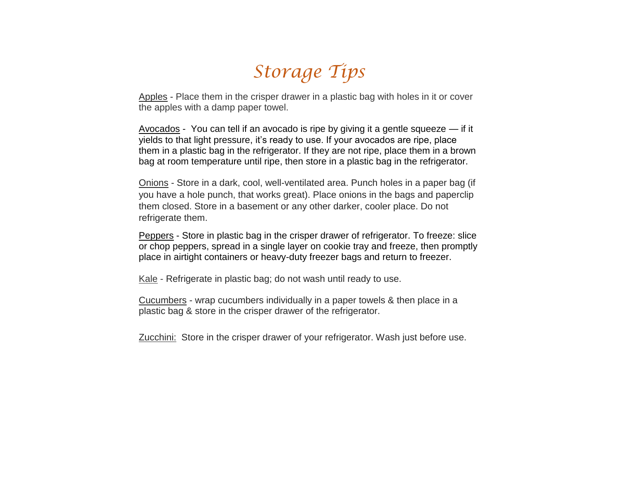# *Storage Tips*

Apples - Place them in the crisper drawer in a plastic bag with holes in it or cover the apples with a damp paper towel.

Avocados - You can tell if an avocado is ripe by giving it a gentle squeeze — if it yields to that light pressure, it's ready to use. If your avocados are ripe, place them in a plastic bag in the refrigerator. If they are not ripe, place them in a brown bag at room temperature until ripe, then store in a plastic bag in the refrigerator.

Onions - Store in a dark, cool, well-ventilated area. Punch holes in a paper bag (if you have a hole punch, that works great). Place onions in the bags and paperclip them closed. Store in a basement or any other darker, cooler place. Do not refrigerate them.

Peppers - Store in plastic bag in the crisper drawer of refrigerator. To freeze: slice or chop peppers, spread in a single layer on cookie tray and freeze, then promptly place in airtight containers or heavy-duty freezer bags and return to freezer.

Kale - Refrigerate in plastic bag; do not wash until ready to use.

Cucumbers - wrap cucumbers individually in a paper towels & then place in a plastic bag & store in the crisper drawer of the refrigerator.

Zucchini: Store in the crisper drawer of your refrigerator. Wash just before use.